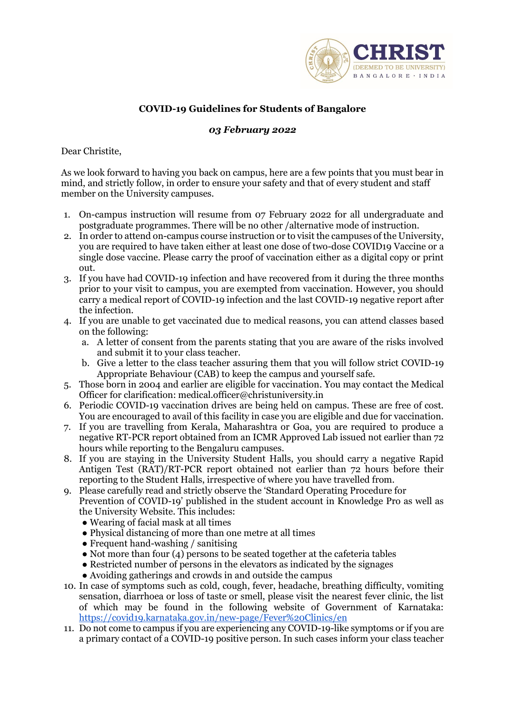

# **COVID-19 Guidelines for Students of Bangalore**

# *03 February 2022*

Dear Christite,

As we look forward to having you back on campus, here are a few points that you must bear in mind, and strictly follow, in order to ensure your safety and that of every student and staff member on the University campuses.

- 1. On-campus instruction will resume from 07 February 2022 for all undergraduate and postgraduate programmes. There will be no other /alternative mode of instruction.
- 2. In order to attend on-campus course instruction or to visit the campuses of the University, you are required to have taken either at least one dose of two-dose COVID19 Vaccine or a single dose vaccine. Please carry the proof of vaccination either as a digital copy or print out.
- 3. If you have had COVID-19 infection and have recovered from it during the three months prior to your visit to campus, you are exempted from vaccination. However, you should carry a medical report of COVID-19 infection and the last COVID-19 negative report after the infection.
- 4. If you are unable to get vaccinated due to medical reasons, you can attend classes based on the following:
	- a. A letter of consent from the parents stating that you are aware of the risks involved and submit it to your class teacher.
	- b. Give a letter to the class teacher assuring them that you will follow strict COVID-19 Appropriate Behaviour (CAB) to keep the campus and yourself safe.
- 5. Those born in 2004 and earlier are eligible for vaccination. You may contact the Medical Officer for clarification: medical.officer@christuniversity.in
- 6. Periodic COVID-19 vaccination drives are being held on campus. These are free of cost. You are encouraged to avail of this facility in case you are eligible and due for vaccination.
- 7. If you are travelling from Kerala, Maharashtra or Goa, you are required to produce a negative RT-PCR report obtained from an ICMR Approved Lab issued not earlier than 72 hours while reporting to the Bengaluru campuses.
- 8. If you are staying in the University Student Halls, you should carry a negative Rapid Antigen Test (RAT)/RT-PCR report obtained not earlier than 72 hours before their reporting to the Student Halls, irrespective of where you have travelled from.
- 9. Please carefully read and strictly observe the 'Standard Operating Procedure for Prevention of COVID-19' published in the student account in Knowledge Pro as well as the University Website. This includes:
	- Wearing of facial mask at all times
	- Physical distancing of more than one metre at all times
	- Frequent hand-washing / sanitising
	- Not more than four  $(4)$  persons to be seated together at the cafeteria tables
	- Restricted number of persons in the elevators as indicated by the signages
	- Avoiding gatherings and crowds in and outside the campus
- 10. In case of symptoms such as cold, cough, fever, headache, breathing difficulty, vomiting sensation, diarrhoea or loss of taste or smell, please visit the nearest fever clinic, the list of which may be found in the following website of Government of Karnataka: <https://covid19.karnataka.gov.in/new-page/Fever%20Clinics/en>
- 11. Do not come to campus if you are experiencing any COVID-19-like symptoms or if you are a primary contact of a COVID-19 positive person. In such cases inform your class teacher